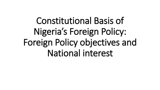## Constitutional Basis of Nigeria's Foreign Policy: Foreign Policy objectives and National interest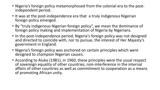- Nigeria's foreign policy metamorphosed from the colonial era to the postindependent period.
- It was at the post-independence era that a truly indigenous Nigerian foreign policy emerged.
- By "truly indigenous Nigerian foreign policy", we mean the dominance of foreign policy making and implementation of Nigeria by Nigerians.
- In the post-independence period, Nigeria's foreign policy was not designed and directed to coincide with, nor to pursue, the interest of Her Majesty's government in England.
- Nigeria's foreign policy was anchored on certain principles which were designed to champion Nigerian causes.
- According to Aluko (1981), in 1960, these principles were the usual respect of sovereign equality of other countries, non-interference in the internal affairs of other countries as well as commitment to cooperation as a means of promoting African unity.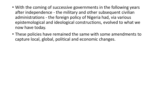- With the coming of successive governments in the following years after independence - the military and other subsequent civilian administrations - the foreign policy of Nigeria had, via various epistemological and ideological constructions, evolved to what we now have today.
- These policies have remained the same with some amendments to capture local, global, political and economic changes.